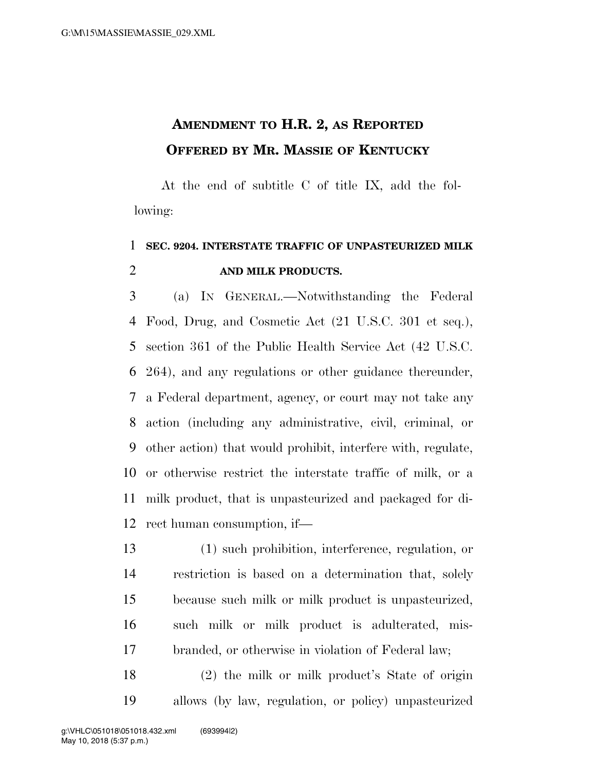## **AMENDMENT TO H.R. 2, AS REPORTED OFFERED BY MR. MASSIE OF KENTUCKY**

At the end of subtitle C of title IX, add the following:

## **SEC. 9204. INTERSTATE TRAFFIC OF UNPASTEURIZED MILK AND MILK PRODUCTS.**

 (a) IN GENERAL.—Notwithstanding the Federal Food, Drug, and Cosmetic Act (21 U.S.C. 301 et seq.), section 361 of the Public Health Service Act (42 U.S.C. 264), and any regulations or other guidance thereunder, a Federal department, agency, or court may not take any action (including any administrative, civil, criminal, or other action) that would prohibit, interfere with, regulate, or otherwise restrict the interstate traffic of milk, or a milk product, that is unpasteurized and packaged for di-rect human consumption, if—

 (1) such prohibition, interference, regulation, or restriction is based on a determination that, solely because such milk or milk product is unpasteurized, such milk or milk product is adulterated, mis-branded, or otherwise in violation of Federal law;

 (2) the milk or milk product's State of origin allows (by law, regulation, or policy) unpasteurized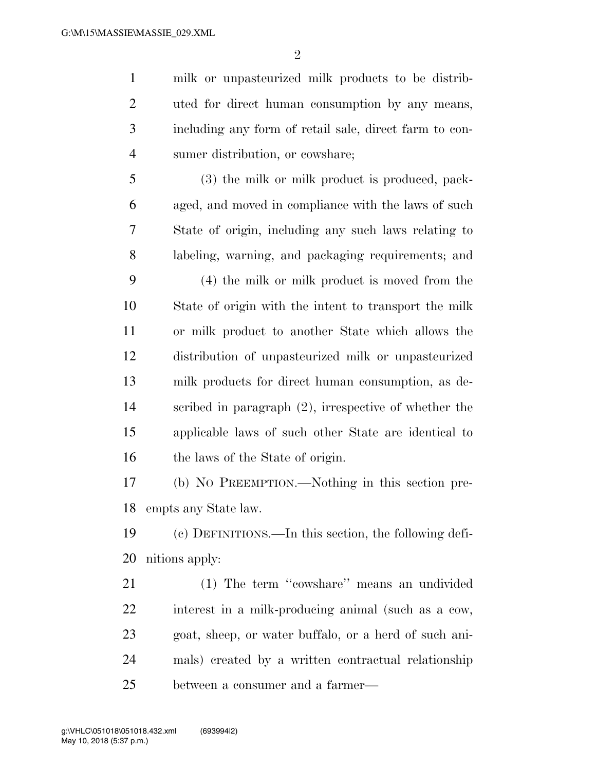milk or unpasteurized milk products to be distrib- uted for direct human consumption by any means, including any form of retail sale, direct farm to con-sumer distribution, or cowshare;

 (3) the milk or milk product is produced, pack- aged, and moved in compliance with the laws of such State of origin, including any such laws relating to labeling, warning, and packaging requirements; and

 (4) the milk or milk product is moved from the State of origin with the intent to transport the milk or milk product to another State which allows the distribution of unpasteurized milk or unpasteurized milk products for direct human consumption, as de- scribed in paragraph (2), irrespective of whether the applicable laws of such other State are identical to the laws of the State of origin.

 (b) NO PREEMPTION.—Nothing in this section pre-empts any State law.

 (c) DEFINITIONS.—In this section, the following defi-nitions apply:

 (1) The term ''cowshare'' means an undivided interest in a milk-producing animal (such as a cow, goat, sheep, or water buffalo, or a herd of such ani- mals) created by a written contractual relationship between a consumer and a farmer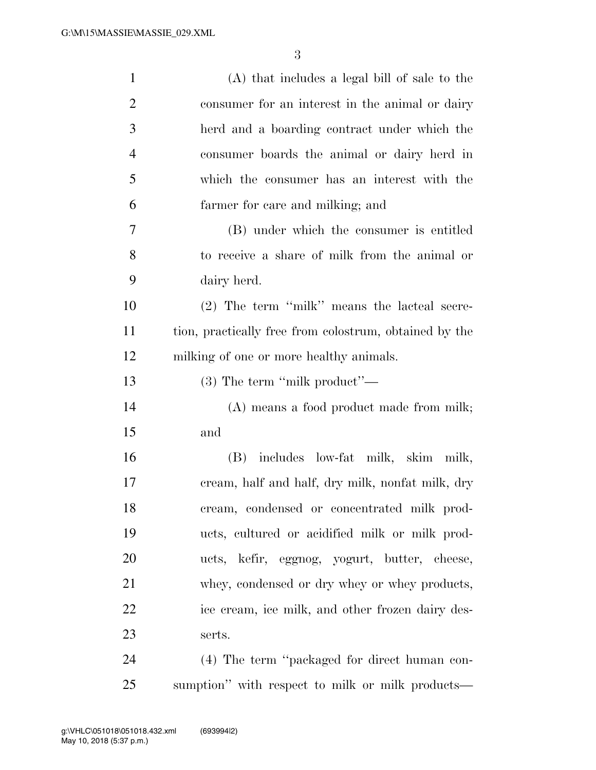| $\mathbf{1}$   | (A) that includes a legal bill of sale to the          |
|----------------|--------------------------------------------------------|
| $\overline{2}$ | consumer for an interest in the animal or dairy        |
| 3              | herd and a boarding contract under which the           |
| $\overline{4}$ | consumer boards the animal or dairy herd in            |
| 5              | which the consumer has an interest with the            |
| 6              | farmer for care and milking; and                       |
| 7              | (B) under which the consumer is entitled               |
| 8              | to receive a share of milk from the animal or          |
| 9              | dairy herd.                                            |
| 10             | (2) The term "milk" means the lacteal secre-           |
| 11             | tion, practically free from colostrum, obtained by the |
| 12             | milking of one or more healthy animals.                |
| 13             | $(3)$ The term "milk product"—                         |
| 14             | (A) means a food product made from milk;               |
| 15             | and                                                    |
| 16             | (B) includes low-fat milk, skim milk,                  |
| 17             | cream, half and half, dry milk, nonfat milk, dry       |
| 18             | cream, condensed or concentrated milk prod-            |
| 19             | ucts, cultured or acidified milk or milk prod-         |
| 20             | ucts, kefir, eggnog, yogurt, butter, cheese,           |
| 21             | whey, condensed or dry whey or whey products,          |
| 22             | ice cream, ice milk, and other frozen dairy des-       |
| 23             | serts.                                                 |
| 24             | (4) The term "packaged for direct human con-           |
| 25             | sumption" with respect to milk or milk products—       |